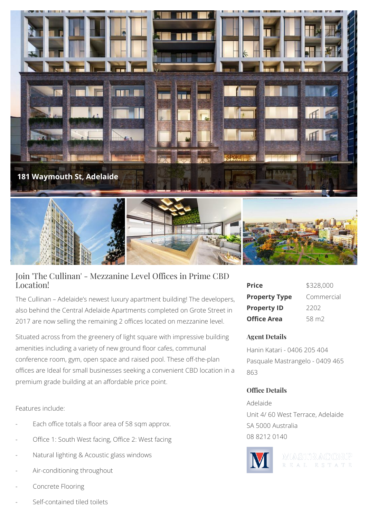

## Join 'The Cullinan' - Mezzanine Level Offices in Prime CBD Location!

The Cullinan – Adelaide's newest luxury apartment building! The developers, also behind the Central Adelaide Apartments completed on Grote Street in 2017 are now selling the remaining 2 offices located on mezzanine level.

Situated across from the greenery of light square with impressive building amenities including a variety of new ground floor cafes, communal conference room, gym, open space and raised pool. These off-the-plan offices are Ideal for small businesses seeking a convenient CBD location in a premium grade building at an affordable price point.

Features include:

- Each office totals a floor area of 58 sqm approx.
- Office 1: South West facing, Office 2: West facing
- Natural lighting & Acoustic glass windows
- Air-conditioning throughout
- Concrete Flooring
- Self-contained tiled toilets

| Price                | \$328,000         |
|----------------------|-------------------|
| <b>Property Type</b> | Commercial        |
| <b>Property ID</b>   | 2202              |
| Office Area          | 58 m <sub>2</sub> |

## **Agent Details**

Hanin Katari - 0406 205 404 Pasquale Mastrangelo - 0409 465 863

## **Office Details**

Adelaide Unit 4/ 60 West Terrace, Adelaide SA 5000 Australia 08 8212 0140